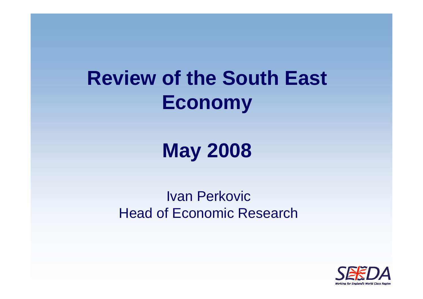### **Review of the South East Economy**

### **May 2008**

#### Ivan PerkovicHead of Economic Research

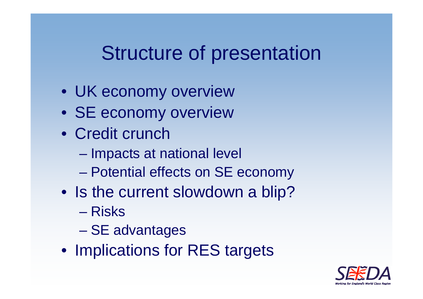### Structure of presentation

- UK economy overview
- SE economy overview
- Credit crunch
	- –Impacts at national level
	- –Potential effects on SE economy
- Is the current slowdown a blip?
	- Risks
	- **Little Communist Communist Communist** SE advantages
- Implications for RES targets

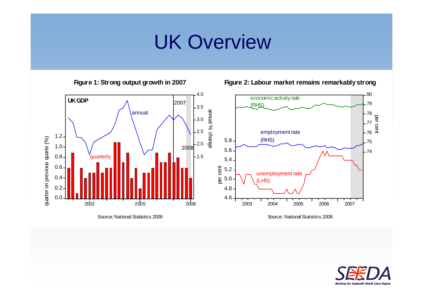### UK Overview

**Figure 1: Strong output growth in 2007**



**Figure 2: Labour market remains remarkably strong**

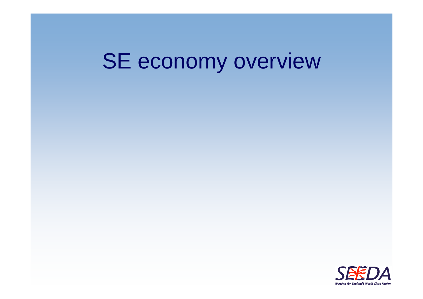## SE economy overview

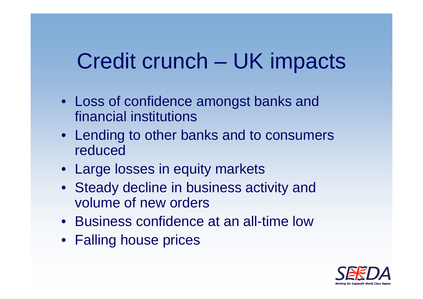### Credit crunch – UK impacts

- Loss of confidence amongst banks and financial institutions
- Lending to other banks and to consumers reduced
- Large losses in equity markets
- Steady decline in business activity and volume of new orders
- Business confidence at an all-time low
- Falling house prices

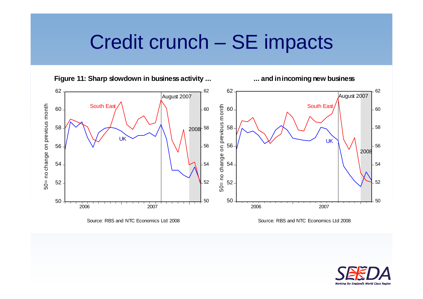### Credit crunch – SE impacts



**... and in incoming new business**



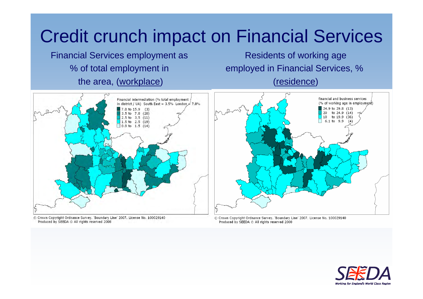### Credit crunch impact on Financial Services

Financial Services employment as % of total employment in the area, (workplace)

Residents of working age employed in Financial Services, % (residence)



© Crown Copyright Ordnance Survey. 'Boundary Line' 2007. License No. 100029140 Produced by SEEDA @ All rights reserved 2008



© Crown Copyright Ordnance Survey, 'Boundary Line' 2007, License No. 100029140 Produced by SEEDA @ All rights reserved 2008

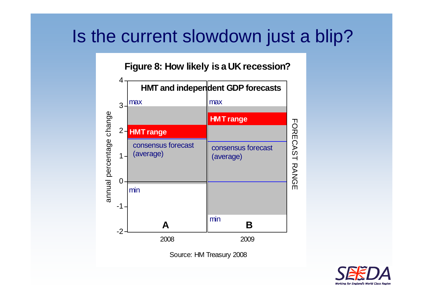#### Is the current slowdown just a blip?

**Figure 8: How likely is a UK recession?**



Source: HM Treasury 2008

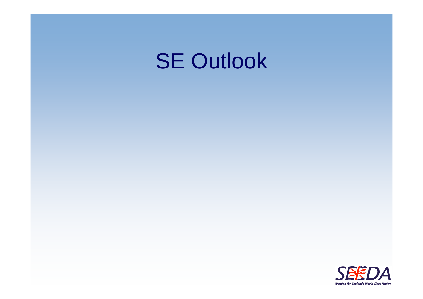### **SE Outlook**

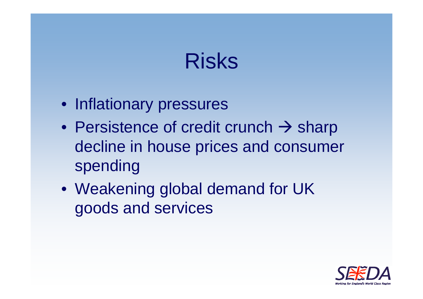### Risks

- Inflationary pressures
- Persistence of credit crunch  $\rightarrow$  sharp decline in house prices and consumer spending
- Weakening global demand for UK goods and services

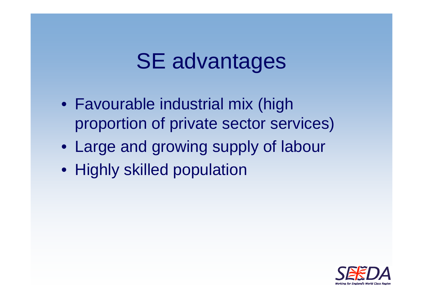### SE advantages

- Favourable industrial mix (high proportion of private sector services)
- Large and growing supply of labour
- Highly skilled population